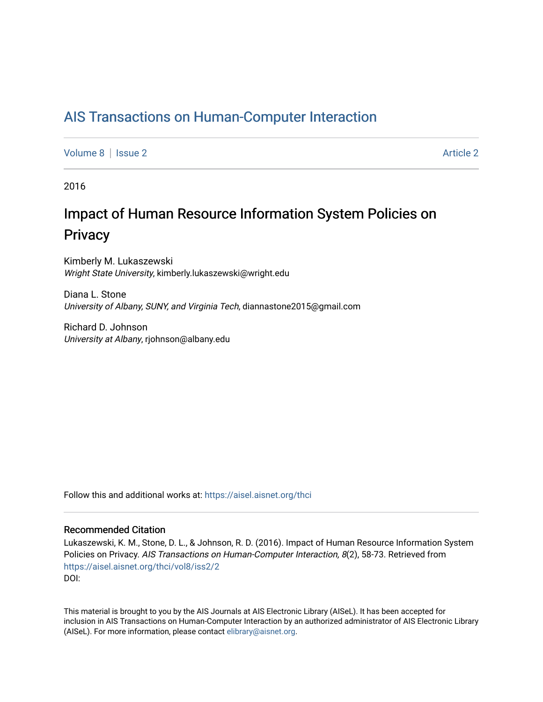# [AIS Transactions on Human-Computer Interaction](https://aisel.aisnet.org/thci)

[Volume 8](https://aisel.aisnet.org/thci/vol8) | [Issue 2](https://aisel.aisnet.org/thci/vol8/iss2) Article 2

2016

# Impact of Human Resource Information System Policies on **Privacy**

Kimberly M. Lukaszewski Wright State University, kimberly.lukaszewski@wright.edu

Diana L. Stone University of Albany, SUNY, and Virginia Tech, diannastone2015@gmail.com

Richard D. Johnson University at Albany, rjohnson@albany.edu

Follow this and additional works at: [https://aisel.aisnet.org/thci](https://aisel.aisnet.org/thci?utm_source=aisel.aisnet.org%2Fthci%2Fvol8%2Fiss2%2F2&utm_medium=PDF&utm_campaign=PDFCoverPages) 

#### Recommended Citation

Lukaszewski, K. M., Stone, D. L., & Johnson, R. D. (2016). Impact of Human Resource Information System Policies on Privacy. AIS Transactions on Human-Computer Interaction, 8(2), 58-73. Retrieved from [https://aisel.aisnet.org/thci/vol8/iss2/2](https://aisel.aisnet.org/thci/vol8/iss2/2?utm_source=aisel.aisnet.org%2Fthci%2Fvol8%2Fiss2%2F2&utm_medium=PDF&utm_campaign=PDFCoverPages)  DOI:

This material is brought to you by the AIS Journals at AIS Electronic Library (AISeL). It has been accepted for inclusion in AIS Transactions on Human-Computer Interaction by an authorized administrator of AIS Electronic Library (AISeL). For more information, please contact [elibrary@aisnet.org](mailto:elibrary@aisnet.org%3E).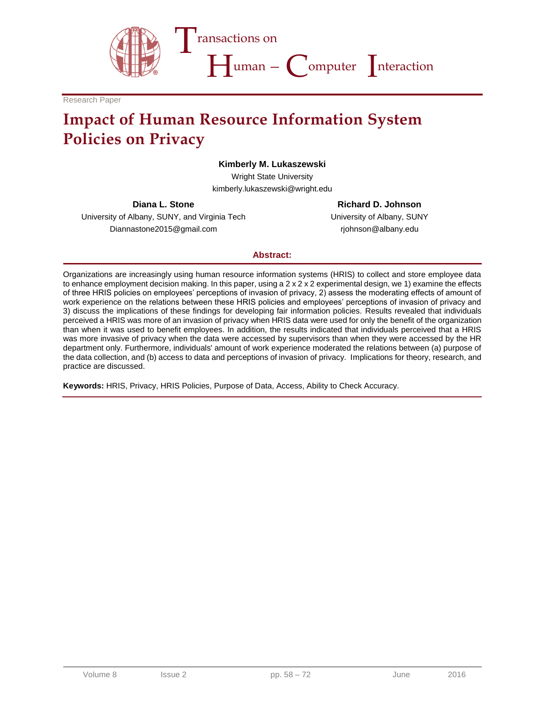

Research Paper

# **Impact of Human Resource Information System Policies on Privacy**

#### **Kimberly M. Lukaszewski**

Wright State University kimberly.lukaszewski@wright.edu

**Diana L. Stone**

University of Albany, SUNY, and Virginia Tech Diannastone2015@gmail.com

**Richard D. Johnson**

University of Albany, SUNY rjohnson@albany.edu

#### **Abstract:**

Organizations are increasingly using human resource information systems (HRIS) to collect and store employee data to enhance employment decision making. In this paper, using a 2 x 2 x 2 experimental design, we 1) examine the effects of three HRIS policies on employees' perceptions of invasion of privacy, 2) assess the moderating effects of amount of work experience on the relations between these HRIS policies and employees' perceptions of invasion of privacy and 3) discuss the implications of these findings for developing fair information policies. Results revealed that individuals perceived a HRIS was more of an invasion of privacy when HRIS data were used for only the benefit of the organization than when it was used to benefit employees. In addition, the results indicated that individuals perceived that a HRIS was more invasive of privacy when the data were accessed by supervisors than when they were accessed by the HR department only. Furthermore, individuals' amount of work experience moderated the relations between (a) purpose of the data collection, and (b) access to data and perceptions of invasion of privacy. Implications for theory, research, and practice are discussed.

**Keywords:** HRIS, Privacy, HRIS Policies, Purpose of Data, Access, Ability to Check Accuracy.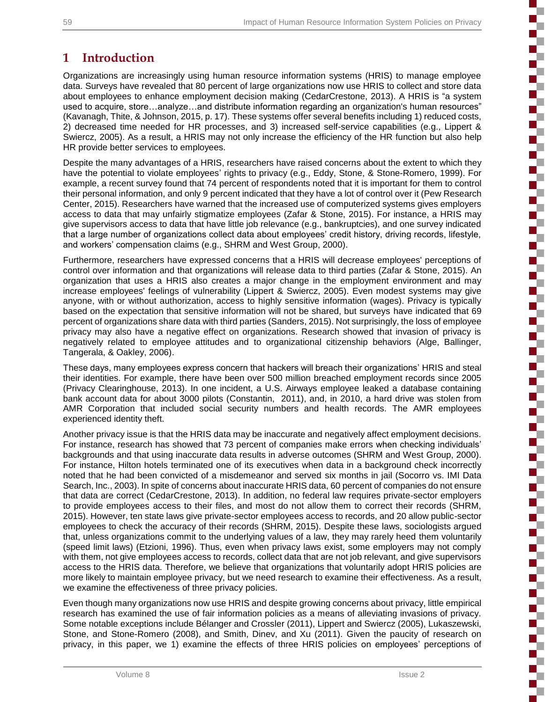Ş

5

j

E

5

E

Í

ş

5

 $\mathbb{R}^n$ 

m.

# **1 Introduction**

Organizations are increasingly using human resource information systems (HRIS) to manage employee data. Surveys have revealed that 80 percent of large organizations now use HRIS to collect and store data about employees to enhance employment decision making (CedarCrestone, 2013). A HRIS is "a system used to acquire, store…analyze…and distribute information regarding an organization's human resources" (Kavanagh, Thite, & Johnson, 2015, p. 17). These systems offer several benefits including 1) reduced costs, 2) decreased time needed for HR processes, and 3) increased self-service capabilities (e.g., Lippert & Swiercz, 2005). As a result, a HRIS may not only increase the efficiency of the HR function but also help HR provide better services to employees.

Despite the many advantages of a HRIS, researchers have raised concerns about the extent to which they have the potential to violate employees' rights to privacy (e.g., Eddy, Stone, & Stone-Romero, 1999). For example, a recent survey found that 74 percent of respondents noted that it is important for them to control their personal information, and only 9 percent indicated that they have a lot of control over it (Pew Research Center, 2015). Researchers have warned that the increased use of computerized systems gives employers access to data that may unfairly stigmatize employees (Zafar & Stone, 2015). For instance, a HRIS may give supervisors access to data that have little job relevance (e.g., bankruptcies), and one survey indicated that a large number of organizations collect data about employees' credit history, driving records, lifestyle, and workers' compensation claims (e.g., SHRM and West Group, 2000).

Furthermore, researchers have expressed concerns that a HRIS will decrease employees' perceptions of control over information and that organizations will release data to third parties (Zafar & Stone, 2015). An organization that uses a HRIS also creates a major change in the employment environment and may increase employees' feelings of vulnerability (Lippert & Swiercz, 2005). Even modest systems may give anyone, with or without authorization, access to highly sensitive information (wages). Privacy is typically based on the expectation that sensitive information will not be shared, but surveys have indicated that 69 percent of organizations share data with third parties (Sanders, 2015). Not surprisingly, the loss of employee privacy may also have a negative effect on organizations. Research showed that invasion of privacy is negatively related to employee attitudes and to organizational citizenship behaviors (Alge, Ballinger, Tangerala, & Oakley, 2006).

These days, many employees express concern that hackers will breach their organizations' HRIS and steal their identities. For example, there have been over 500 million breached employment records since 2005 (Privacy Clearinghouse, 2013). In one incident, a U.S. Airways employee leaked a database containing bank account data for about 3000 pilots (Constantin, 2011), and, in 2010, a hard drive was stolen from AMR Corporation that included social security numbers and health records. The AMR employees experienced identity theft.

Another privacy issue is that the HRIS data may be inaccurate and negatively affect employment decisions. For instance, research has showed that 73 percent of companies make errors when checking individuals' backgrounds and that using inaccurate data results in adverse outcomes (SHRM and West Group, 2000). For instance, Hilton hotels terminated one of its executives when data in a background check incorrectly noted that he had been convicted of a misdemeanor and served six months in jail (Socorro vs. IMI Data Search, Inc., 2003). In spite of concerns about inaccurate HRIS data, 60 percent of companies do not ensure that data are correct (CedarCrestone, 2013). In addition, no federal law requires private-sector employers to provide employees access to their files, and most do not allow them to correct their records (SHRM, 2015). However, ten state laws give private-sector employees access to records, and 20 allow public-sector employees to check the accuracy of their records (SHRM, 2015). Despite these laws, sociologists argued that, unless organizations commit to the underlying values of a law, they may rarely heed them voluntarily (speed limit laws) (Etzioni, 1996). Thus, even when privacy laws exist, some employers may not comply with them, not give employees access to records, collect data that are not job relevant, and give supervisors access to the HRIS data. Therefore, we believe that organizations that voluntarily adopt HRIS policies are more likely to maintain employee privacy, but we need research to examine their effectiveness. As a result, we examine the effectiveness of three privacy policies.

Even though many organizations now use HRIS and despite growing concerns about privacy, little empirical research has examined the use of fair information policies as a means of alleviating invasions of privacy. Some notable exceptions include Bélanger and Crossler (2011), Lippert and Swiercz (2005), Lukaszewski, Stone, and Stone-Romero (2008), and Smith, Dinev, and Xu (2011). Given the paucity of research on privacy, in this paper, we 1) examine the effects of three HRIS policies on employees' perceptions of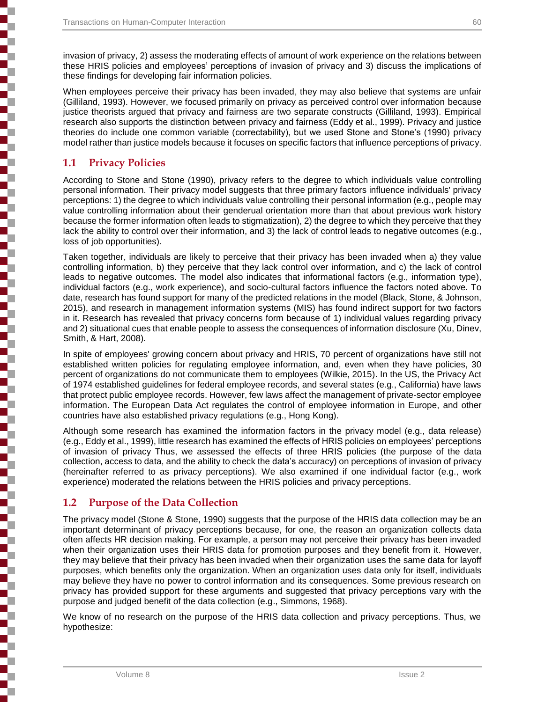invasion of privacy, 2) assess the moderating effects of amount of work experience on the relations between these HRIS policies and employees' perceptions of invasion of privacy and 3) discuss the implications of these findings for developing fair information policies.

When employees perceive their privacy has been invaded, they may also believe that systems are unfair (Gilliland, 1993). However, we focused primarily on privacy as perceived control over information because justice theorists argued that privacy and fairness are two separate constructs (Gilliland, 1993). Empirical research also supports the distinction between privacy and fairness (Eddy et al., 1999). Privacy and justice theories do include one common variable (correctability), but we used Stone and Stone's (1990) privacy model rather than justice models because it focuses on specific factors that influence perceptions of privacy.

#### **1.1 Privacy Policies**

┋

According to Stone and Stone (1990), privacy refers to the degree to which individuals value controlling personal information. Their privacy model suggests that three primary factors influence individuals' privacy perceptions: 1) the degree to which individuals value controlling their personal information (e.g., people may value controlling information about their genderual orientation more than that about previous work history because the former information often leads to stigmatization), 2) the degree to which they perceive that they lack the ability to control over their information, and 3) the lack of control leads to negative outcomes (e.g., loss of job opportunities).

Taken together, individuals are likely to perceive that their privacy has been invaded when a) they value controlling information, b) they perceive that they lack control over information, and c) the lack of control leads to negative outcomes. The model also indicates that informational factors (e.g., information type), individual factors (e.g., work experience), and socio-cultural factors influence the factors noted above. To date, research has found support for many of the predicted relations in the model (Black, Stone, & Johnson, 2015), and research in management information systems (MIS) has found indirect support for two factors in it. Research has revealed that privacy concerns form because of 1) individual values regarding privacy and 2) situational cues that enable people to assess the consequences of information disclosure (Xu, Dinev, Smith, & Hart, 2008).

In spite of employees' growing concern about privacy and HRIS, 70 percent of organizations have still not established written policies for regulating employee information, and, even when they have policies, 30 percent of organizations do not communicate them to employees (Wilkie, 2015). In the US, the Privacy Act of 1974 established guidelines for federal employee records, and several states (e.g., California) have laws that protect public employee records. However, few laws affect the management of private-sector employee information. The European Data Act regulates the control of employee information in Europe, and other countries have also established privacy regulations (e.g., Hong Kong).

Although some research has examined the information factors in the privacy model (e.g., data release) (e.g., Eddy et al., 1999), little research has examined the effects of HRIS policies on employees' perceptions of invasion of privacy Thus, we assessed the effects of three HRIS policies (the purpose of the data collection, access to data, and the ability to check the data's accuracy) on perceptions of invasion of privacy (hereinafter referred to as privacy perceptions). We also examined if one individual factor (e.g., work experience) moderated the relations between the HRIS policies and privacy perceptions.

#### **1.2 Purpose of the Data Collection**

The privacy model (Stone & Stone, 1990) suggests that the purpose of the HRIS data collection may be an important determinant of privacy perceptions because, for one, the reason an organization collects data often affects HR decision making. For example, a person may not perceive their privacy has been invaded when their organization uses their HRIS data for promotion purposes and they benefit from it. However, they may believe that their privacy has been invaded when their organization uses the same data for layoff purposes, which benefits only the organization. When an organization uses data only for itself, individuals may believe they have no power to control information and its consequences. Some previous research on privacy has provided support for these arguments and suggested that privacy perceptions vary with the purpose and judged benefit of the data collection (e.g., Simmons, 1968).

We know of no research on the purpose of the HRIS data collection and privacy perceptions. Thus, we hypothesize: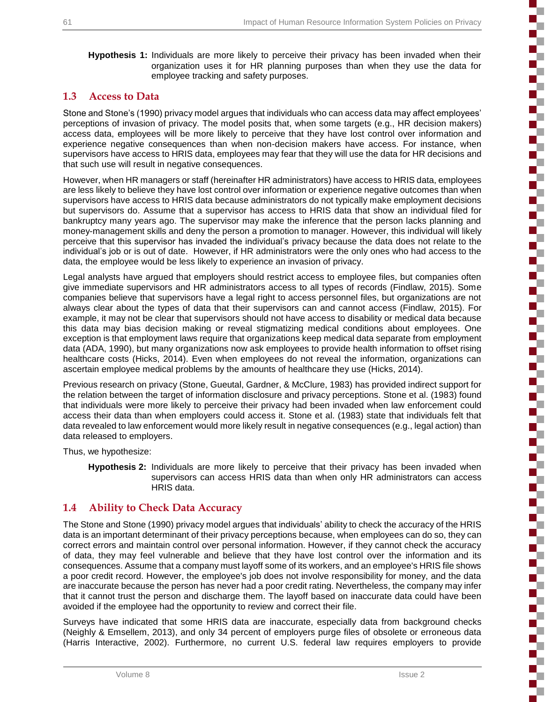i<br>Santa Santa Sa

E

 $\blacksquare$ 

3

5

i

Ę

i

E

**Hypothesis 1:** Individuals are more likely to perceive their privacy has been invaded when their organization uses it for HR planning purposes than when they use the data for employee tracking and safety purposes.

#### **1.3 Access to Data**

Stone and Stone's (1990) privacy model argues that individuals who can access data may affect employees' perceptions of invasion of privacy. The model posits that, when some targets (e.g., HR decision makers) access data, employees will be more likely to perceive that they have lost control over information and experience negative consequences than when non-decision makers have access. For instance, when supervisors have access to HRIS data, employees may fear that they will use the data for HR decisions and that such use will result in negative consequences.

However, when HR managers or staff (hereinafter HR administrators) have access to HRIS data, employees are less likely to believe they have lost control over information or experience negative outcomes than when supervisors have access to HRIS data because administrators do not typically make employment decisions but supervisors do. Assume that a supervisor has access to HRIS data that show an individual filed for bankruptcy many years ago. The supervisor may make the inference that the person lacks planning and money-management skills and deny the person a promotion to manager. However, this individual will likely perceive that this supervisor has invaded the individual's privacy because the data does not relate to the individual's job or is out of date. However, if HR administrators were the only ones who had access to the data, the employee would be less likely to experience an invasion of privacy.

Legal analysts have argued that employers should restrict access to employee files, but companies often give immediate supervisors and HR administrators access to all types of records (Findlaw, 2015). Some companies believe that supervisors have a legal right to access personnel files, but organizations are not always clear about the types of data that their supervisors can and cannot access (Findlaw, 2015). For example, it may not be clear that supervisors should not have access to disability or medical data because this data may bias decision making or reveal stigmatizing medical conditions about employees. One exception is that employment laws require that organizations keep medical data separate from employment data (ADA, 1990), but many organizations now ask employees to provide health information to offset rising healthcare costs (Hicks, 2014). Even when employees do not reveal the information, organizations can ascertain employee medical problems by the amounts of healthcare they use (Hicks, 2014).

Previous research on privacy (Stone, Gueutal, Gardner, & McClure, 1983) has provided indirect support for the relation between the target of information disclosure and privacy perceptions. Stone et al. (1983) found that individuals were more likely to perceive their privacy had been invaded when law enforcement could access their data than when employers could access it. Stone et al. (1983) state that individuals felt that data revealed to law enforcement would more likely result in negative consequences (e.g., legal action) than data released to employers.

Thus, we hypothesize:

**Hypothesis 2:** Individuals are more likely to perceive that their privacy has been invaded when supervisors can access HRIS data than when only HR administrators can access HRIS data.

### **1.4 Ability to Check Data Accuracy**

The Stone and Stone (1990) privacy model argues that individuals' ability to check the accuracy of the HRIS data is an important determinant of their privacy perceptions because, when employees can do so, they can correct errors and maintain control over personal information. However, if they cannot check the accuracy of data, they may feel vulnerable and believe that they have lost control over the information and its consequences. Assume that a company must layoff some of its workers, and an employee's HRIS file shows a poor credit record. However, the employee's job does not involve responsibility for money, and the data are inaccurate because the person has never had a poor credit rating. Nevertheless, the company may infer that it cannot trust the person and discharge them. The layoff based on inaccurate data could have been avoided if the employee had the opportunity to review and correct their file.

Surveys have indicated that some HRIS data are inaccurate, especially data from background checks (Neighly & Emsellem, 2013), and only 34 percent of employers purge files of obsolete or erroneous data (Harris Interactive, 2002). Furthermore, no current U.S. federal law requires employers to provide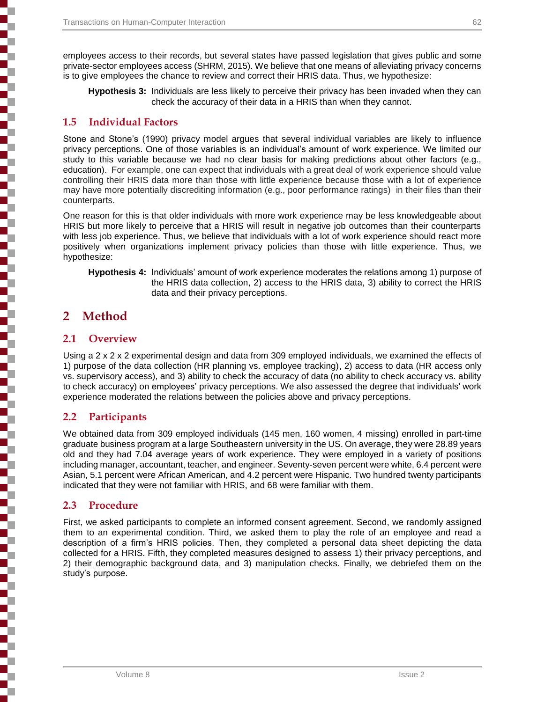employees access to their records, but several states have passed legislation that gives public and some private-sector employees access (SHRM, 2015). We believe that one means of alleviating privacy concerns is to give employees the chance to review and correct their HRIS data. Thus, we hypothesize:

**Hypothesis 3:** Individuals are less likely to perceive their privacy has been invaded when they can check the accuracy of their data in a HRIS than when they cannot.

#### **1.5 Individual Factors**

Stone and Stone's (1990) privacy model argues that several individual variables are likely to influence privacy perceptions. One of those variables is an individual's amount of work experience. We limited our study to this variable because we had no clear basis for making predictions about other factors (e.g., education). For example, one can expect that individuals with a great deal of work experience should value controlling their HRIS data more than those with little experience because those with a lot of experience may have more potentially discrediting information (e.g., poor performance ratings) in their files than their counterparts.

One reason for this is that older individuals with more work experience may be less knowledgeable about HRIS but more likely to perceive that a HRIS will result in negative job outcomes than their counterparts with less job experience. Thus, we believe that individuals with a lot of work experience should react more positively when organizations implement privacy policies than those with little experience. Thus, we hypothesize:

**Hypothesis 4:** Individuals' amount of work experience moderates the relations among 1) purpose of the HRIS data collection, 2) access to the HRIS data, 3) ability to correct the HRIS data and their privacy perceptions.

# **2 Method**

#### **2.1 Overview**

Using a 2 x 2 x 2 experimental design and data from 309 employed individuals, we examined the effects of 1) purpose of the data collection (HR planning vs. employee tracking), 2) access to data (HR access only vs. supervisory access), and 3) ability to check the accuracy of data (no ability to check accuracy vs. ability to check accuracy) on employees' privacy perceptions. We also assessed the degree that individuals' work experience moderated the relations between the policies above and privacy perceptions.

#### **2.2 Participants**

We obtained data from 309 employed individuals (145 men, 160 women, 4 missing) enrolled in part-time graduate business program at a large Southeastern university in the US. On average, they were 28.89 years old and they had 7.04 average years of work experience. They were employed in a variety of positions including manager, accountant, teacher, and engineer. Seventy-seven percent were white, 6.4 percent were Asian, 5.1 percent were African American, and 4.2 percent were Hispanic. Two hundred twenty participants indicated that they were not familiar with HRIS, and 68 were familiar with them.

#### **2.3 Procedure**

First, we asked participants to complete an informed consent agreement. Second, we randomly assigned them to an experimental condition. Third, we asked them to play the role of an employee and read a description of a firm's HRIS policies. Then, they completed a personal data sheet depicting the data collected for a HRIS. Fifth, they completed measures designed to assess 1) their privacy perceptions, and 2) their demographic background data, and 3) manipulation checks. Finally, we debriefed them on the study's purpose.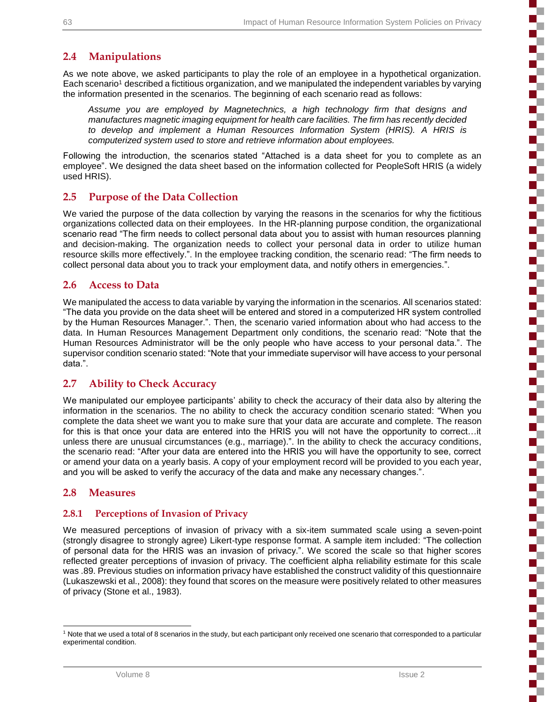Ŧ

i

i

į

۰,

### **2.4 Manipulations**

As we note above, we asked participants to play the role of an employee in a hypothetical organization. Each scenario<sup>1</sup> described a fictitious organization, and we manipulated the independent variables by varying the information presented in the scenarios. The beginning of each scenario read as follows:

*Assume you are employed by Magnetechnics, a high technology firm that designs and manufactures magnetic imaging equipment for health care facilities. The firm has recently decided to develop and implement a Human Resources Information System (HRIS). A HRIS is computerized system used to store and retrieve information about employees.*

Following the introduction, the scenarios stated "Attached is a data sheet for you to complete as an employee". We designed the data sheet based on the information collected for PeopleSoft HRIS (a widely used HRIS).

#### **2.5 Purpose of the Data Collection**

We varied the purpose of the data collection by varying the reasons in the scenarios for why the fictitious organizations collected data on their employees. In the HR-planning purpose condition, the organizational scenario read "The firm needs to collect personal data about you to assist with human resources planning and decision-making. The organization needs to collect your personal data in order to utilize human resource skills more effectively.". In the employee tracking condition, the scenario read: "The firm needs to collect personal data about you to track your employment data, and notify others in emergencies.".

#### **2.6 Access to Data**

We manipulated the access to data variable by varying the information in the scenarios. All scenarios stated: "The data you provide on the data sheet will be entered and stored in a computerized HR system controlled by the Human Resources Manager.". Then, the scenario varied information about who had access to the data. In Human Resources Management Department only conditions, the scenario read: "Note that the Human Resources Administrator will be the only people who have access to your personal data.". The supervisor condition scenario stated: "Note that your immediate supervisor will have access to your personal data.".

#### **2.7 Ability to Check Accuracy**

We manipulated our employee participants' ability to check the accuracy of their data also by altering the information in the scenarios. The no ability to check the accuracy condition scenario stated: "When you complete the data sheet we want you to make sure that your data are accurate and complete. The reason for this is that once your data are entered into the HRIS you will not have the opportunity to correct…it unless there are unusual circumstances (e.g., marriage).". In the ability to check the accuracy conditions, the scenario read: "After your data are entered into the HRIS you will have the opportunity to see, correct or amend your data on a yearly basis. A copy of your employment record will be provided to you each year, and you will be asked to verify the accuracy of the data and make any necessary changes.".

#### **2.8 Measures**

#### **2.8.1 Perceptions of Invasion of Privacy**

We measured perceptions of invasion of privacy with a six-item summated scale using a seven-point (strongly disagree to strongly agree) Likert-type response format. A sample item included: "The collection of personal data for the HRIS was an invasion of privacy.". We scored the scale so that higher scores reflected greater perceptions of invasion of privacy. The coefficient alpha reliability estimate for this scale was .89. Previous studies on information privacy have established the construct validity of this questionnaire (Lukaszewski et al., 2008): they found that scores on the measure were positively related to other measures of privacy (Stone et al., 1983).

l <sup>1</sup> Note that we used a total of 8 scenarios in the study, but each participant only received one scenario that corresponded to a particular experimental condition.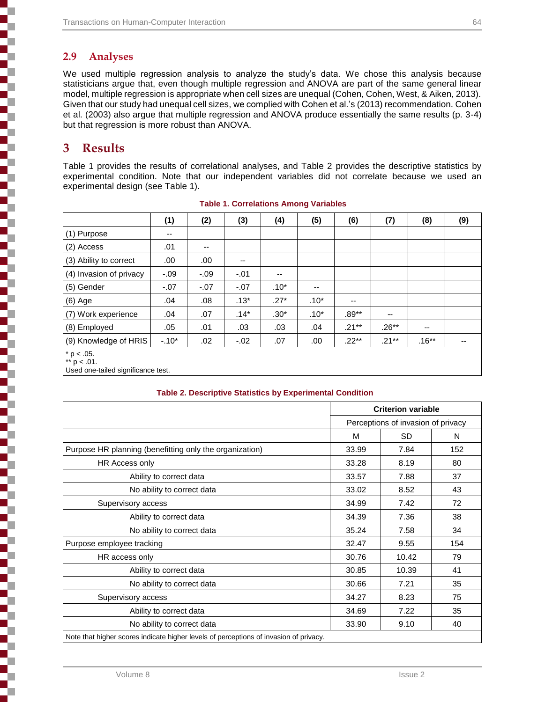### **2.9 Analyses**

e<br>1

i

Ę

ī

j

i<br>L

ł

 $\overline{1}$ 

We used multiple regression analysis to analyze the study's data. We chose this analysis because statisticians argue that, even though multiple regression and ANOVA are part of the same general linear model, multiple regression is appropriate when cell sizes are unequal (Cohen, Cohen, West, & Aiken, 2013). Given that our study had unequal cell sizes, we complied with Cohen et al.'s (2013) recommendation. Cohen et al. (2003) also argue that multiple regression and ANOVA produce essentially the same results (p. 3-4) but that regression is more robust than ANOVA.

# **3 Results**

Table 1 provides the results of correlational analyses, and Table 2 provides the descriptive statistics by experimental condition. Note that our independent variables did not correlate because we used an experimental design (see Table 1).

|                                | (1)     | (2)                      | (3)                      | (4)    | (5)                      | (6)      | (7)                      | (8)     | (9)   |
|--------------------------------|---------|--------------------------|--------------------------|--------|--------------------------|----------|--------------------------|---------|-------|
| (1) Purpose                    | --      |                          |                          |        |                          |          |                          |         |       |
| (2) Access                     | .01     | $\overline{\phantom{a}}$ |                          |        |                          |          |                          |         |       |
| (3) Ability to correct         | .00.    | .00                      | $\overline{\phantom{a}}$ |        |                          |          |                          |         |       |
| (4) Invasion of privacy        | $-.09$  | $-0.9$                   | $-.01$                   | $- -$  |                          |          |                          |         |       |
| (5) Gender                     | $-07$   | $-.07$                   | $-.07$                   | $.10*$ | $\overline{\phantom{a}}$ |          |                          |         |       |
| $(6)$ Age                      | .04     | .08                      | $.13*$                   | $.27*$ | $.10*$                   | $-$      |                          |         |       |
| (7) Work experience            | .04     | .07                      | $.14*$                   | $.30*$ | $.10*$                   | $.89**$  | $\overline{\phantom{a}}$ |         |       |
| (8) Employed                   | .05     | .01                      | .03                      | .03    | .04                      | $.21***$ | $.26**$                  | --      |       |
| (9) Knowledge of HRIS          | $-.10*$ | .02                      | $-.02$                   | .07    | .00                      | $.22***$ | $.21***$                 | $.16**$ | $- -$ |
| $* p < .05.$<br>** $p < .01$ . |         |                          |                          |        |                          |          |                          |         |       |

#### **Table 1. Correlations Among Variables**

Used one-tailed significance test.

#### **Table 2. Descriptive Statistics by Experimental Condition**

|                                                         |       | <b>Criterion variable</b>          |     |  |
|---------------------------------------------------------|-------|------------------------------------|-----|--|
|                                                         |       | Perceptions of invasion of privacy |     |  |
|                                                         | M     | <b>SD</b>                          | N   |  |
| Purpose HR planning (benefitting only the organization) | 33.99 | 7.84                               | 152 |  |
| HR Access only                                          | 33.28 | 8.19                               | 80  |  |
| Ability to correct data                                 | 33.57 | 7.88                               | 37  |  |
| No ability to correct data                              | 33.02 | 8.52                               | 43  |  |
| Supervisory access                                      | 34.99 | 7.42                               | 72  |  |
| Ability to correct data                                 | 34.39 | 7.36                               | 38  |  |
| No ability to correct data                              | 35.24 | 7.58                               | 34  |  |
| Purpose employee tracking                               | 32.47 | 9.55                               | 154 |  |
| HR access only                                          | 30.76 | 10.42                              | 79  |  |
| Ability to correct data                                 | 30.85 | 10.39                              | 41  |  |
| No ability to correct data                              | 30.66 | 7.21                               | 35  |  |
| Supervisory access                                      | 34.27 | 8.23                               | 75  |  |
| Ability to correct data                                 | 34.69 | 7.22                               | 35  |  |
| No ability to correct data                              | 33.90 | 9.10                               | 40  |  |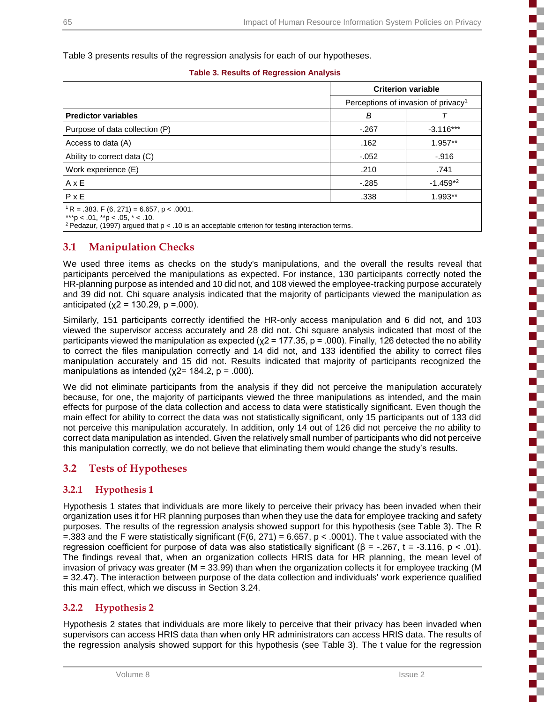Table 3 presents results of the regression analysis for each of our hypotheses.

|                                                                                                                                                                                                          | <b>Criterion variable</b>                       |             |  |  |
|----------------------------------------------------------------------------------------------------------------------------------------------------------------------------------------------------------|-------------------------------------------------|-------------|--|--|
|                                                                                                                                                                                                          | Perceptions of invasion of privacy <sup>1</sup> |             |  |  |
| <b>Predictor variables</b>                                                                                                                                                                               | B                                               |             |  |  |
| Purpose of data collection (P)                                                                                                                                                                           | $-.267$                                         | $-3.116***$ |  |  |
| Access to data (A)                                                                                                                                                                                       | .162                                            | 1.957**     |  |  |
| Ability to correct data (C)                                                                                                                                                                              | $-.052$                                         | $-.916$     |  |  |
| Work experience (E)                                                                                                                                                                                      | .210                                            | .741        |  |  |
| $A \times E$                                                                                                                                                                                             | $-285$                                          | $-1.459*2$  |  |  |
| $P \times E$                                                                                                                                                                                             | .338                                            | 1.993**     |  |  |
| $R = .383$ . F (6, 271) = 6.657, p < .0001.<br>***p < $.01$ , **p < $.05$ , * < $.10$ .<br><sup>2</sup> Pedazur, (1997) argued that $p < 0.10$ is an acceptable criterion for testing interaction terms. |                                                 |             |  |  |

#### **3.1 Manipulation Checks**

We used three items as checks on the study's manipulations, and the overall the results reveal that participants perceived the manipulations as expected. For instance, 130 participants correctly noted the HR-planning purpose as intended and 10 did not, and 108 viewed the employee-tracking purpose accurately and 39 did not. Chi square analysis indicated that the majority of participants viewed the manipulation as anticipated ( $x2 = 130.29$ ,  $p = .000$ ).

Similarly, 151 participants correctly identified the HR-only access manipulation and 6 did not, and 103 viewed the supervisor access accurately and 28 did not. Chi square analysis indicated that most of the participants viewed the manipulation as expected ( $x^2$  = 177.35, p = .000). Finally, 126 detected the no ability to correct the files manipulation correctly and 14 did not, and 133 identified the ability to correct files manipulation accurately and 15 did not. Results indicated that majority of participants recognized the manipulations as intended ( $x2$ = 184.2,  $p$  = .000).

We did not eliminate participants from the analysis if they did not perceive the manipulation accurately because, for one, the majority of participants viewed the three manipulations as intended, and the main effects for purpose of the data collection and access to data were statistically significant. Even though the main effect for ability to correct the data was not statistically significant, only 15 participants out of 133 did not perceive this manipulation accurately. In addition, only 14 out of 126 did not perceive the no ability to correct data manipulation as intended. Given the relatively small number of participants who did not perceive this manipulation correctly, we do not believe that eliminating them would change the study's results.

### **3.2 Tests of Hypotheses**

#### **3.2.1 Hypothesis 1**

Hypothesis 1 states that individuals are more likely to perceive their privacy has been invaded when their organization uses it for HR planning purposes than when they use the data for employee tracking and safety purposes. The results of the regression analysis showed support for this hypothesis (see Table 3). The R =.383 and the F were statistically significant (F(6, 271) = 6.657, p < .0001). The t value associated with the regression coefficient for purpose of data was also statistically significant (β = -.267, t = -3.116, p < .01). The findings reveal that, when an organization collects HRIS data for HR planning, the mean level of invasion of privacy was greater (M = 33.99) than when the organization collects it for employee tracking (M = 32.47). The interaction between purpose of the data collection and individuals' work experience qualified this main effect, which we discuss in Section 3.24.

#### **3.2.2 Hypothesis 2**

Hypothesis 2 states that individuals are more likely to perceive that their privacy has been invaded when supervisors can access HRIS data than when only HR administrators can access HRIS data. The results of the regression analysis showed support for this hypothesis (see Table 3). The t value for the regression н.,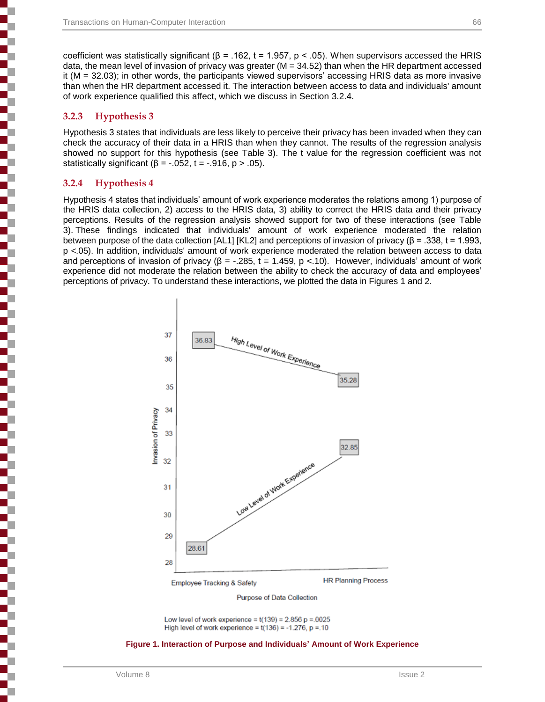coefficient was statistically significant (β = .162, t = 1.957, p < .05). When supervisors accessed the HRIS data, the mean level of invasion of privacy was greater  $(M = 34.52)$  than when the HR department accessed it (M = 32.03); in other words, the participants viewed supervisors' accessing HRIS data as more invasive than when the HR department accessed it. The interaction between access to data and individuals' amount of work experience qualified this affect, which we discuss in Section 3.2.4.

#### **3.2.3 Hypothesis 3**

┇

 $\frac{1}{2}$ 

j

ī

ī

Hypothesis 3 states that individuals are less likely to perceive their privacy has been invaded when they can check the accuracy of their data in a HRIS than when they cannot. The results of the regression analysis showed no support for this hypothesis (see Table 3). The t value for the regression coefficient was not statistically significant ( $\beta$  = -.052, t = -.916, p > .05).

#### **3.2.4 Hypothesis 4**

Hypothesis 4 states that individuals' amount of work experience moderates the relations among 1) purpose of the HRIS data collection, 2) access to the HRIS data, 3) ability to correct the HRIS data and their privacy perceptions. Results of the regression analysis showed support for two of these interactions (see Table 3). These findings indicated that individuals' amount of work experience moderated the relation between purpose of the data collection [AL1] [KL2] and perceptions of invasion of privacy ( $\beta$  = .338, t = 1.993, p <.05). In addition, individuals' amount of work experience moderated the relation between access to data and perceptions of invasion of privacy ( $\beta$  = -.285, t = 1.459, p < 10). However, individuals' amount of work experience did not moderate the relation between the ability to check the accuracy of data and employees' perceptions of privacy. To understand these interactions, we plotted the data in Figures 1 and 2.



Purpose of Data Collection

Low level of work experience =  $t(139) = 2.856$  p = 0025 High level of work experience =  $t(136)$  = -1.276, p = 10

#### **Figure 1. Interaction of Purpose and Individuals' Amount of Work Experience**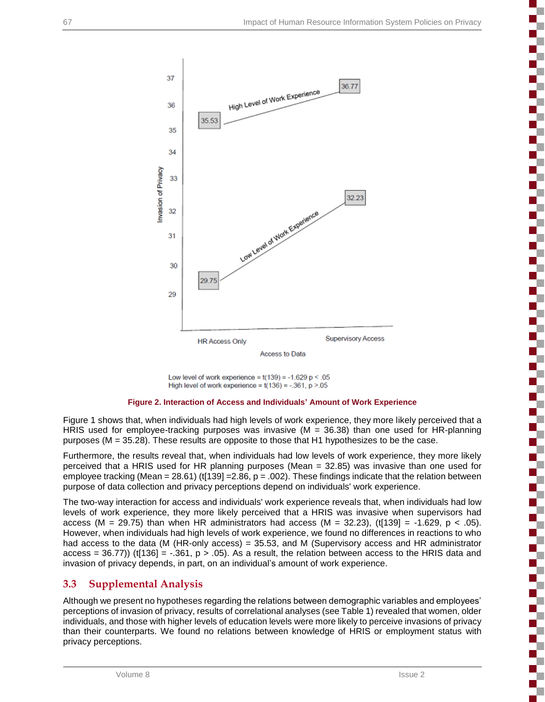

Low level of work experience =  $t(139) = -1.629$  p < .05 High level of work experience =  $t(136)$  = -.361, p >.05

#### **Figure 2. Interaction of Access and Individuals' Amount of Work Experience**

Figure 1 shows that, when individuals had high levels of work experience, they more likely perceived that a HRIS used for employee-tracking purposes was invasive ( $M = 36.38$ ) than one used for HR-planning purposes (M = 35.28). These results are opposite to those that H1 hypothesizes to be the case.

Furthermore, the results reveal that, when individuals had low levels of work experience, they more likely perceived that a HRIS used for HR planning purposes (Mean = 32.85) was invasive than one used for employee tracking (Mean = 28.61) (t[139] =  $2.86$ , p = .002). These findings indicate that the relation between purpose of data collection and privacy perceptions depend on individuals' work experience.

The two-way interaction for access and individuals' work experience reveals that, when individuals had low levels of work experience, they more likely perceived that a HRIS was invasive when supervisors had access (M = 29.75) than when HR administrators had access (M = 32.23), (t[139] = -1.629, p < .05). However, when individuals had high levels of work experience, we found no differences in reactions to who had access to the data (M (HR-only access) = 35.53, and M (Supervisory access and HR administrator access = 36.77)) (t[136] = -.361,  $p > .05$ ). As a result, the relation between access to the HRIS data and invasion of privacy depends, in part, on an individual's amount of work experience.

### **3.3 Supplemental Analysis**

Although we present no hypotheses regarding the relations between demographic variables and employees' perceptions of invasion of privacy, results of correlational analyses (see Table 1) revealed that women, older individuals, and those with higher levels of education levels were more likely to perceive invasions of privacy than their counterparts. We found no relations between knowledge of HRIS or employment status with privacy perceptions.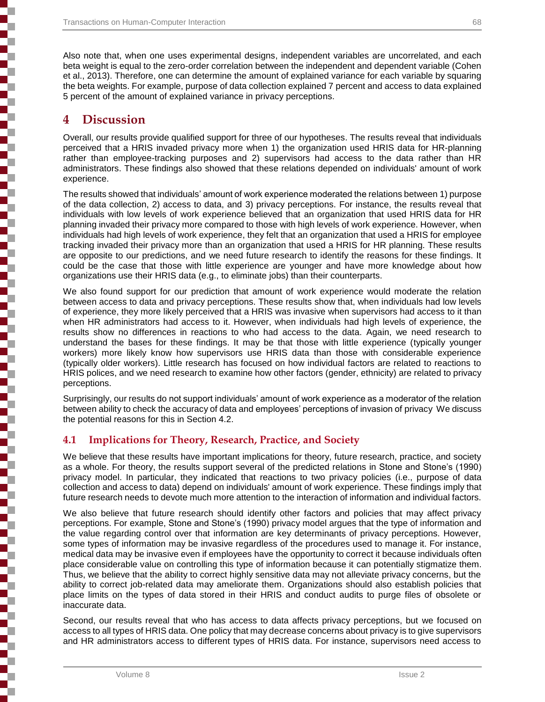Also note that, when one uses experimental designs, independent variables are uncorrelated, and each beta weight is equal to the zero-order correlation between the independent and dependent variable (Cohen et al., 2013). Therefore, one can determine the amount of explained variance for each variable by squaring the beta weights. For example, purpose of data collection explained 7 percent and access to data explained 5 percent of the amount of explained variance in privacy perceptions.

### **4 Discussion**

Overall, our results provide qualified support for three of our hypotheses. The results reveal that individuals perceived that a HRIS invaded privacy more when 1) the organization used HRIS data for HR-planning rather than employee-tracking purposes and 2) supervisors had access to the data rather than HR administrators. These findings also showed that these relations depended on individuals' amount of work experience.

The results showed that individuals' amount of work experience moderated the relations between 1) purpose of the data collection, 2) access to data, and 3) privacy perceptions. For instance, the results reveal that individuals with low levels of work experience believed that an organization that used HRIS data for HR planning invaded their privacy more compared to those with high levels of work experience. However, when individuals had high levels of work experience, they felt that an organization that used a HRIS for employee tracking invaded their privacy more than an organization that used a HRIS for HR planning. These results are opposite to our predictions, and we need future research to identify the reasons for these findings. It could be the case that those with little experience are younger and have more knowledge about how organizations use their HRIS data (e.g., to eliminate jobs) than their counterparts.

We also found support for our prediction that amount of work experience would moderate the relation between access to data and privacy perceptions. These results show that, when individuals had low levels of experience, they more likely perceived that a HRIS was invasive when supervisors had access to it than when HR administrators had access to it. However, when individuals had high levels of experience, the results show no differences in reactions to who had access to the data. Again, we need research to understand the bases for these findings. It may be that those with little experience (typically younger workers) more likely know how supervisors use HRIS data than those with considerable experience (typically older workers). Little research has focused on how individual factors are related to reactions to HRIS polices, and we need research to examine how other factors (gender, ethnicity) are related to privacy perceptions.

Surprisingly, our results do not support individuals' amount of work experience as a moderator of the relation between ability to check the accuracy of data and employees' perceptions of invasion of privacy We discuss the potential reasons for this in Section 4.2.

#### **4.1 Implications for Theory, Research, Practice, and Society**

We believe that these results have important implications for theory, future research, practice, and society as a whole. For theory, the results support several of the predicted relations in Stone and Stone's (1990) privacy model. In particular, they indicated that reactions to two privacy policies (i.e., purpose of data collection and access to data) depend on individuals' amount of work experience. These findings imply that future research needs to devote much more attention to the interaction of information and individual factors.

We also believe that future research should identify other factors and policies that may affect privacy perceptions. For example, Stone and Stone's (1990) privacy model argues that the type of information and the value regarding control over that information are key determinants of privacy perceptions. However, some types of information may be invasive regardless of the procedures used to manage it. For instance, medical data may be invasive even if employees have the opportunity to correct it because individuals often place considerable value on controlling this type of information because it can potentially stigmatize them. Thus, we believe that the ability to correct highly sensitive data may not alleviate privacy concerns, but the ability to correct job-related data may ameliorate them. Organizations should also establish policies that place limits on the types of data stored in their HRIS and conduct audits to purge files of obsolete or inaccurate data.

Second, our results reveal that who has access to data affects privacy perceptions, but we focused on access to all types of HRIS data. One policy that may decrease concerns about privacy is to give supervisors and HR administrators access to different types of HRIS data. For instance, supervisors need access to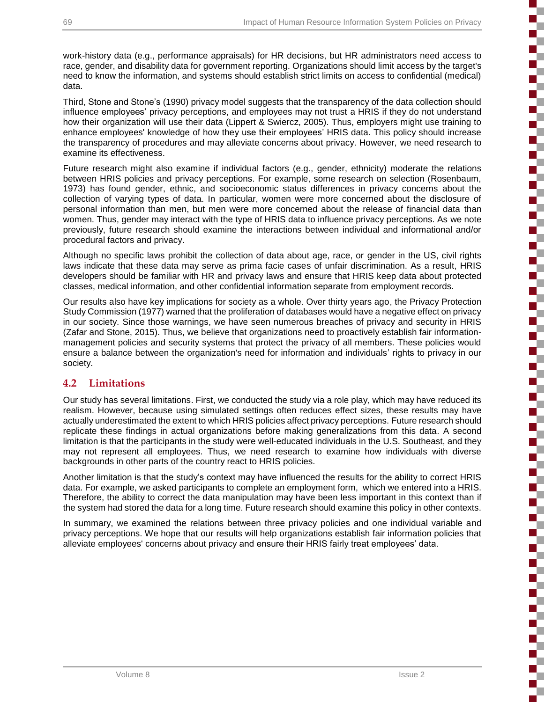i

 $\mathbb{R}^2$ 

E

í

Í

ş

₹

į

work-history data (e.g., performance appraisals) for HR decisions, but HR administrators need access to race, gender, and disability data for government reporting. Organizations should limit access by the target's need to know the information, and systems should establish strict limits on access to confidential (medical) data.

Third, Stone and Stone's (1990) privacy model suggests that the transparency of the data collection should influence employees' privacy perceptions, and employees may not trust a HRIS if they do not understand how their organization will use their data (Lippert & Swiercz, 2005). Thus, employers might use training to enhance employees' knowledge of how they use their employees' HRIS data. This policy should increase the transparency of procedures and may alleviate concerns about privacy. However, we need research to examine its effectiveness.

Future research might also examine if individual factors (e.g., gender, ethnicity) moderate the relations between HRIS policies and privacy perceptions. For example, some research on selection (Rosenbaum, 1973) has found gender, ethnic, and socioeconomic status differences in privacy concerns about the collection of varying types of data. In particular, women were more concerned about the disclosure of personal information than men, but men were more concerned about the release of financial data than women. Thus, gender may interact with the type of HRIS data to influence privacy perceptions. As we note previously, future research should examine the interactions between individual and informational and/or procedural factors and privacy.

Although no specific laws prohibit the collection of data about age, race, or gender in the US, civil rights laws indicate that these data may serve as prima facie cases of unfair discrimination. As a result, HRIS developers should be familiar with HR and privacy laws and ensure that HRIS keep data about protected classes, medical information, and other confidential information separate from employment records.

Our results also have key implications for society as a whole. Over thirty years ago, the Privacy Protection Study Commission (1977) warned that the proliferation of databases would have a negative effect on privacy in our society. Since those warnings, we have seen numerous breaches of privacy and security in HRIS (Zafar and Stone, 2015). Thus, we believe that organizations need to proactively establish fair informationmanagement policies and security systems that protect the privacy of all members. These policies would ensure a balance between the organization's need for information and individuals' rights to privacy in our society.

#### **4.2 Limitations**

Our study has several limitations. First, we conducted the study via a role play, which may have reduced its realism. However, because using simulated settings often reduces effect sizes, these results may have actually underestimated the extent to which HRIS policies affect privacy perceptions. Future research should replicate these findings in actual organizations before making generalizations from this data. A second limitation is that the participants in the study were well-educated individuals in the U.S. Southeast, and they may not represent all employees. Thus, we need research to examine how individuals with diverse backgrounds in other parts of the country react to HRIS policies.

Another limitation is that the study's context may have influenced the results for the ability to correct HRIS data. For example, we asked participants to complete an employment form, which we entered into a HRIS. Therefore, the ability to correct the data manipulation may have been less important in this context than if the system had stored the data for a long time. Future research should examine this policy in other contexts.

In summary, we examined the relations between three privacy policies and one individual variable and privacy perceptions. We hope that our results will help organizations establish fair information policies that alleviate employees' concerns about privacy and ensure their HRIS fairly treat employees' data.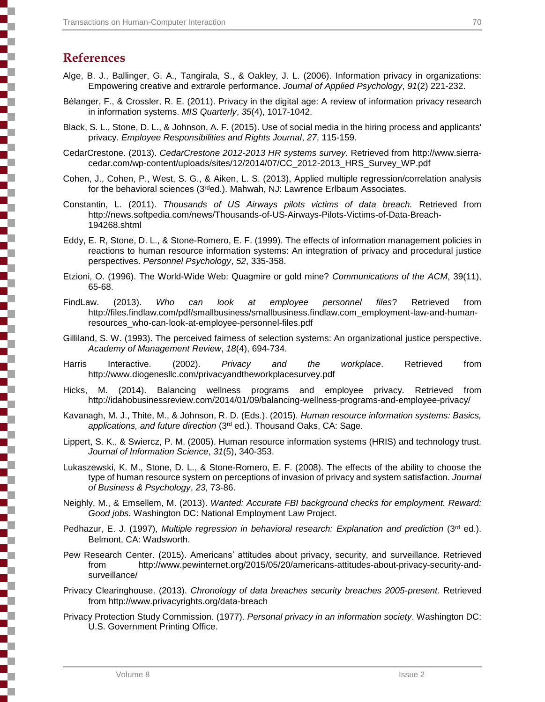# **References**

- Alge, B. J., Ballinger, G. A., Tangirala, S., & Oakley, J. L. (2006). Information privacy in organizations: Empowering creative and extrarole performance. *Journal of Applied Psychology*, *91*(2) 221-232.
- Bélanger, F., & Crossler, R. E. (2011). Privacy in the digital age: A review of information privacy research in information systems. *MIS Quarterly*, *35*(4), 1017-1042.
- Black, S. L., Stone, D. L., & Johnson, A. F. (2015). Use of social media in the hiring process and applicants' privacy. *Employee Responsibilities and Rights Journal*, *27*, 115-159.
- CedarCrestone. (2013). *CedarCrestone 2012-2013 HR systems survey*. Retrieved from http://www.sierracedar.com/wp-content/uploads/sites/12/2014/07/CC\_2012-2013\_HRS\_Survey\_WP.pdf
- Cohen, J., Cohen, P., West, S. G., & Aiken, L. S. (2013), Applied multiple regression/correlation analysis for the behavioral sciences (3rded.). Mahwah, NJ: Lawrence Erlbaum Associates.
- Constantin, L. (2011). *Thousands of US Airways pilots victims of data breach.* Retrieved from http://news.softpedia.com/news/Thousands-of-US-Airways-Pilots-Victims-of-Data-Breach-194268.shtml
- Eddy, E. R, Stone, D. L., & Stone-Romero, E. F. (1999). The effects of information management policies in reactions to human resource information systems: An integration of privacy and procedural justice perspectives. *Personnel Psychology*, *52*, 335-358.
- Etzioni, O. (1996). The World-Wide Web: Quagmire or gold mine? *Communications of the ACM*, 39(11), 65-68.
- FindLaw. (2013). *Who can look at employee personnel files*? Retrieved from http://files.findlaw.com/pdf/smallbusiness/smallbusiness.findlaw.com\_employment-law-and-humanresources\_who-can-look-at-employee-personnel-files.pdf
- Gilliland, S. W. (1993). The perceived fairness of selection systems: An organizational justice perspective. *Academy of Management Review*, *18*(4), 694-734.
- Harris Interactive. (2002). *Privacy and the workplace*. Retrieved from http://www.diogenesllc.com/privacyandtheworkplacesurvey.pdf
- Hicks, M. (2014). Balancing wellness programs and employee privacy. Retrieved from http://idahobusinessreview.com/2014/01/09/balancing-wellness-programs-and-employee-privacy/
- Kavanagh, M. J., Thite, M., & Johnson, R. D. (Eds.). (2015). *Human resource information systems: Basics, applications, and future direction* (3rd ed.). Thousand Oaks, CA: Sage.
- Lippert, S. K., & Swiercz, P. M. (2005). Human resource information systems (HRIS) and technology trust. *Journal of Information Science*, *31*(5), 340-353.
- Lukaszewski, K. M., Stone, D. L., & Stone-Romero, E. F. (2008). The effects of the ability to choose the type of human resource system on perceptions of invasion of privacy and system satisfaction. *Journal of Business & Psychology*, *23*, 73-86.
- Neighly, M., & Emsellem, M. (2013). *Wanted: Accurate FBI background checks for employment. Reward: Good jobs.* Washington DC: National Employment Law Project.
- Pedhazur, E. J. (1997), *Multiple regression in behavioral research: Explanation and prediction* (3rd ed.). Belmont, CA: Wadsworth.
- Pew Research Center. (2015). Americans' attitudes about privacy, security, and surveillance. Retrieved from http://www.pewinternet.org/2015/05/20/americans-attitudes-about-privacy-security-andsurveillance/
- Privacy Clearinghouse. (2013). *Chronology of data breaches security breaches 2005-present*. Retrieved from http://www.privacyrights.org/data-breach
- Privacy Protection Study Commission. (1977). *Personal privacy in an information society*. Washington DC: U.S. Government Printing Office.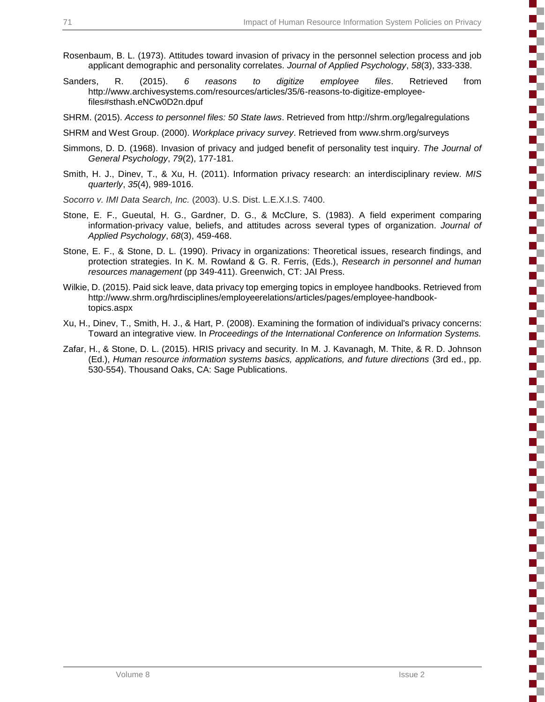**The State** 

 $\mathcal{L}^{\text{max}}_{\text{max}}$ 

**The State** 

- Rosenbaum, B. L. (1973). Attitudes toward invasion of privacy in the personnel selection process and job applicant demographic and personality correlates. *Journal of Applied Psychology*, *58*(3), 333-338.
- Sanders, R. (2015). *6 reasons to digitize employee files*. Retrieved from http://www.archivesystems.com/resources/articles/35/6-reasons-to-digitize-employeefiles#sthash.eNCw0D2n.dpuf
- SHRM. (2015). *Access to personnel files: 50 State laws*. Retrieved from http://shrm.org/legalregulations
- SHRM and West Group. (2000). *Workplace privacy survey*. Retrieved from www.shrm.org/surveys
- Simmons, D. D. (1968). Invasion of privacy and judged benefit of personality test inquiry. *The Journal of General Psychology*, *79*(2), 177-181.
- Smith, H. J., Dinev, T., & Xu, H. (2011). Information privacy research: an interdisciplinary review. *MIS quarterly*, *35*(4), 989-1016.
- *Socorro v. IMI Data Search, Inc.* (2003). U.S. Dist. L.E.X.I.S. 7400.
- Stone, E. F., Gueutal, H. G., Gardner, D. G., & McClure, S. (1983). A field experiment comparing information-privacy value, beliefs, and attitudes across several types of organization. *Journal of Applied Psychology*, *68*(3), 459-468.
- Stone, E. F., & Stone, D. L. (1990). Privacy in organizations: Theoretical issues, research findings, and protection strategies. In K. M. Rowland & G. R. Ferris, (Eds.), *Research in personnel and human resources management* (pp 349-411). Greenwich, CT: JAI Press.
- Wilkie, D. (2015). Paid sick leave, data privacy top emerging topics in employee handbooks. Retrieved from http://www.shrm.org/hrdisciplines/employeerelations/articles/pages/employee-handbooktopics.aspx
- Xu, H., Dinev, T., Smith, H. J., & Hart, P. (2008). Examining the formation of individual's privacy concerns: Toward an integrative view. In *Proceedings of the International Conference on Information Systems.*
- Zafar, H., & Stone, D. L. (2015). HRIS privacy and security. In M. J. Kavanagh, M. Thite, & R. D. Johnson (Ed.), *Human resource information systems basics, applications, and future directions* (3rd ed., pp. 530-554). Thousand Oaks, CA: Sage Publications.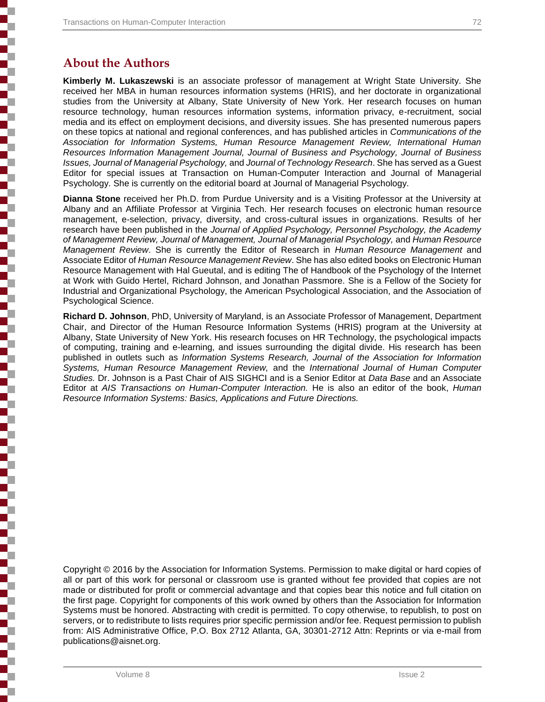# **About the Authors**

**Kimberly M. Lukaszewski** is an associate professor of management at Wright State University. She received her MBA in human resources information systems (HRIS), and her doctorate in organizational studies from the University at Albany, State University of New York. Her research focuses on human resource technology, human resources information systems, information privacy, e-recruitment, social media and its effect on employment decisions, and diversity issues. She has presented numerous papers on these topics at national and regional conferences, and has published articles in *Communications of the Association for Information Systems, Human Resource Management Review, International Human Resources Information Management Journal, Journal of Business and Psychology, Journal of Business Issues, Journal of Managerial Psychology,* and *Journal of Technology Research*. She has served as a Guest Editor for special issues at Transaction on Human-Computer Interaction and Journal of Managerial Psychology. She is currently on the editorial board at Journal of Managerial Psychology.

**Dianna Stone** received her Ph.D. from Purdue University and is a Visiting Professor at the University at Albany and an Affiliate Professor at Virginia Tech. Her research focuses on electronic human resource management, e-selection, privacy, diversity, and cross-cultural issues in organizations. Results of her research have been published in the *Journal of Applied Psychology, Personnel Psychology, the Academy of Management Review, Journal of Management, Journal of Managerial Psychology,* and *Human Resource Management Review*. She is currently the Editor of Research in *Human Resource Management* and Associate Editor of *Human Resource Management Review*. She has also edited books on Electronic Human Resource Management with Hal Gueutal, and is editing The of Handbook of the Psychology of the Internet at Work with Guido Hertel, Richard Johnson, and Jonathan Passmore. She is a Fellow of the Society for Industrial and Organizational Psychology, the American Psychological Association, and the Association of Psychological Science.

**Richard D. Johnson**, PhD, University of Maryland, is an Associate Professor of Management, Department Chair, and Director of the Human Resource Information Systems (HRIS) program at the University at Albany, State University of New York. His research focuses on HR Technology, the psychological impacts of computing, training and e-learning, and issues surrounding the digital divide. His research has been published in outlets such as *Information Systems Research, Journal of the Association for Information Systems, Human Resource Management Review,* and the *International Journal of Human Computer Studies.* Dr. Johnson is a Past Chair of AIS SIGHCI and is a Senior Editor at *Data Base* and an Associate Editor at *AIS Transactions on Human-Computer Interaction.* He is also an editor of the book, *Human Resource Information Systems: Basics, Applications and Future Directions.*

Copyright © 2016 by the Association for Information Systems. Permission to make digital or hard copies of all or part of this work for personal or classroom use is granted without fee provided that copies are not made or distributed for profit or commercial advantage and that copies bear this notice and full citation on the first page. Copyright for components of this work owned by others than the Association for Information Systems must be honored. Abstracting with credit is permitted. To copy otherwise, to republish, to post on servers, or to redistribute to lists requires prior specific permission and/or fee. Request permission to publish from: AIS Administrative Office, P.O. Box 2712 Atlanta, GA, 30301-2712 Attn: Reprints or via e-mail from publications@aisnet.org.